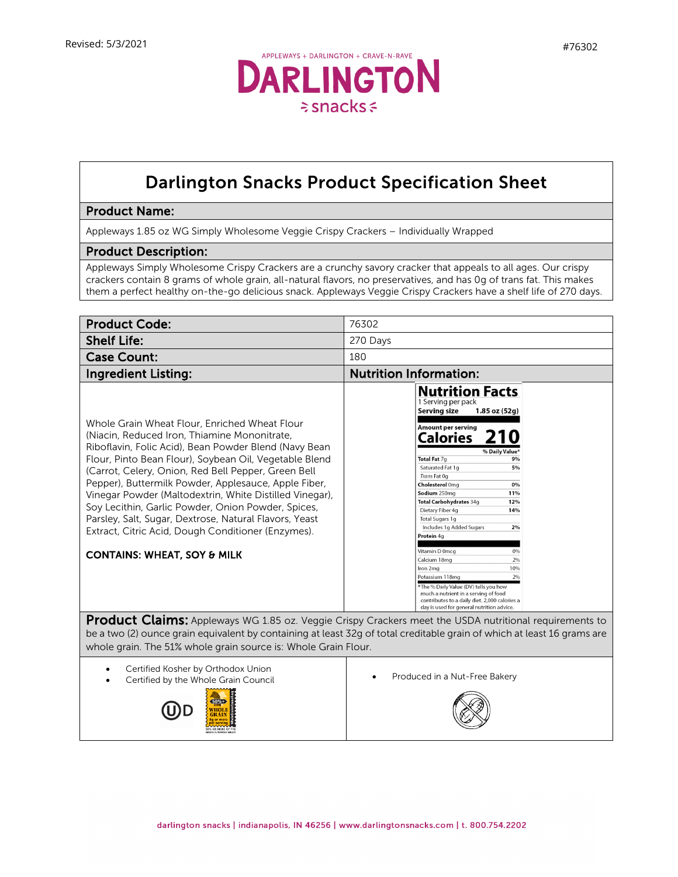

## Darlington Snacks Product Specification Sheet

## Product Name:

Appleways 1.85 oz WG Simply Wholesome Veggie Crispy Crackers – Individually Wrapped

## Product Description:

Appleways Simply Wholesome Crispy Crackers are a crunchy savory cracker that appeals to all ages. Our crispy crackers contain 8 grams of whole grain, all-natural flavors, no preservatives, and has 0g of trans fat. This makes them a perfect healthy on-the-go delicious snack. Appleways Veggie Crispy Crackers have a shelf life of 270 days.

| <b>Product Code:</b>                                                                                                                                                                                                                                                                                                                                                                                                                                                                                                                                                                                       | 76302                                                                                                                                                                                                                                                                                                                                                                                                                                                                                                                                                                                                                                                                                    |
|------------------------------------------------------------------------------------------------------------------------------------------------------------------------------------------------------------------------------------------------------------------------------------------------------------------------------------------------------------------------------------------------------------------------------------------------------------------------------------------------------------------------------------------------------------------------------------------------------------|------------------------------------------------------------------------------------------------------------------------------------------------------------------------------------------------------------------------------------------------------------------------------------------------------------------------------------------------------------------------------------------------------------------------------------------------------------------------------------------------------------------------------------------------------------------------------------------------------------------------------------------------------------------------------------------|
| <b>Shelf Life:</b>                                                                                                                                                                                                                                                                                                                                                                                                                                                                                                                                                                                         | 270 Days                                                                                                                                                                                                                                                                                                                                                                                                                                                                                                                                                                                                                                                                                 |
| <b>Case Count:</b>                                                                                                                                                                                                                                                                                                                                                                                                                                                                                                                                                                                         | 180                                                                                                                                                                                                                                                                                                                                                                                                                                                                                                                                                                                                                                                                                      |
| <b>Ingredient Listing:</b>                                                                                                                                                                                                                                                                                                                                                                                                                                                                                                                                                                                 | <b>Nutrition Information:</b>                                                                                                                                                                                                                                                                                                                                                                                                                                                                                                                                                                                                                                                            |
| Whole Grain Wheat Flour, Enriched Wheat Flour<br>(Niacin, Reduced Iron, Thiamine Mononitrate,<br>Riboflavin, Folic Acid), Bean Powder Blend (Navy Bean<br>Flour, Pinto Bean Flour), Soybean Oil, Vegetable Blend<br>(Carrot, Celery, Onion, Red Bell Pepper, Green Bell<br>Pepper), Buttermilk Powder, Applesauce, Apple Fiber,<br>Vinegar Powder (Maltodextrin, White Distilled Vinegar),<br>Soy Lecithin, Garlic Powder, Onion Powder, Spices,<br>Parsley, Salt, Sugar, Dextrose, Natural Flavors, Yeast<br>Extract, Citric Acid, Dough Conditioner (Enzymes).<br><b>CONTAINS: WHEAT, SOY &amp; MILK</b> | <b>Nutrition Facts</b><br>1 Serving per pack<br><b>Serving size</b><br>$1.85$ oz $(52g)$<br><b>Amount per serving</b><br>Calories<br>% Daily Value <sup>+</sup><br>Total Fat 7q<br>9%<br>5%<br>Saturated Fat 1g<br>Trans Fat 0g<br>Cholesterol 0mg<br>0%<br>Sodium 250mg<br>11%<br>Total Carbohydrates 34g<br>12%<br>Dietary Fiber 4g<br>14%<br>Total Sugars 1g<br>Includes 1g Added Sugars<br>2%<br>Protein 4g<br>Vitamin D 0mcg<br>0%<br>2%<br>Calcium 18mg<br>10%<br>Iron 2mg<br>Potassium 118mg<br>2%<br>*The % Daily Value (DV) tells you how<br>much a nutrient in a serving of food<br>contributes to a daily diet. 2,000 calories a<br>day is used for general nutrition advice. |
| <b>Product Claims:</b> Appleways WG 1.85 oz. Veggie Crispy Crackers meet the USDA nutritional requirements to<br>be a two (2) ounce grain equivalent by containing at least 32g of total creditable grain of which at least 16 grams are<br>whole grain. The 51% whole grain source is: Whole Grain Flour.                                                                                                                                                                                                                                                                                                 |                                                                                                                                                                                                                                                                                                                                                                                                                                                                                                                                                                                                                                                                                          |
| Certified Kosher by Orthodox Union<br>Certified by the Whole Grain Council                                                                                                                                                                                                                                                                                                                                                                                                                                                                                                                                 | Produced in a Nut-Free Bakery                                                                                                                                                                                                                                                                                                                                                                                                                                                                                                                                                                                                                                                            |